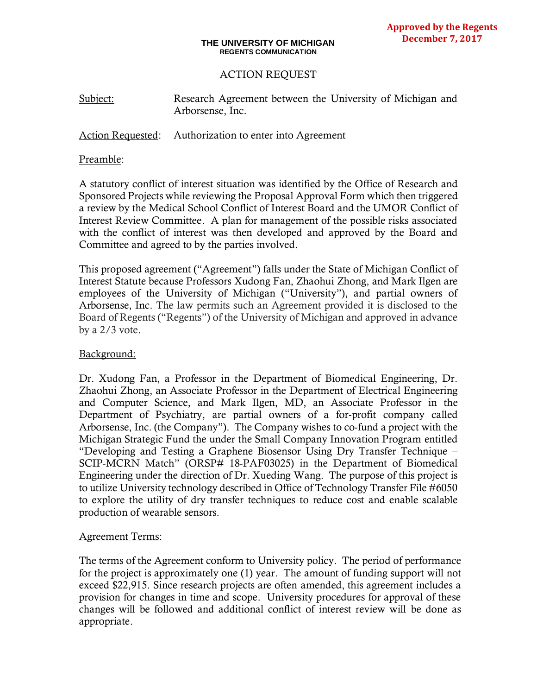#### **THE UNIVERSITY OF MICHIGAN REGENTS COMMUNICATION**

## ACTION REQUEST

| Subject: | Research Agreement between the University of Michigan and |  |  |  |
|----------|-----------------------------------------------------------|--|--|--|
|          | Arborsense, Inc.                                          |  |  |  |

## Action Requested: Authorization to enter into Agreement

#### Preamble:

A statutory conflict of interest situation was identified by the Office of Research and Sponsored Projects while reviewing the Proposal Approval Form which then triggered a review by the Medical School Conflict of Interest Board and the UMOR Conflict of Interest Review Committee. A plan for management of the possible risks associated with the conflict of interest was then developed and approved by the Board and Committee and agreed to by the parties involved.

This proposed agreement ("Agreement") falls under the State of Michigan Conflict of Interest Statute because Professors Xudong Fan, Zhaohui Zhong, and Mark Ilgen are employees of the University of Michigan ("University"), and partial owners of Arborsense, Inc. The law permits such an Agreement provided it is disclosed to the Board of Regents ("Regents") of the University of Michigan and approved in advance by a 2/3 vote.

### Background:

Dr. Xudong Fan, a Professor in the Department of Biomedical Engineering, Dr. Zhaohui Zhong, an Associate Professor in the Department of Electrical Engineering and Computer Science, and Mark Ilgen, MD, an Associate Professor in the Department of Psychiatry, are partial owners of a for-profit company called Arborsense, Inc. (the Company"). The Company wishes to co-fund a project with the Michigan Strategic Fund the under the Small Company Innovation Program entitled "Developing and Testing a Graphene Biosensor Using Dry Transfer Technique – SCIP-MCRN Match" (ORSP# 18-PAF03025) in the Department of Biomedical Engineering under the direction of Dr. Xueding Wang. The purpose of this project is to utilize University technology described in Office of Technology Transfer File #6050 to explore the utility of dry transfer techniques to reduce cost and enable scalable production of wearable sensors.

### Agreement Terms:

The terms of the Agreement conform to University policy. The period of performance for the project is approximately one (1) year. The amount of funding support will not exceed \$22,915. Since research projects are often amended, this agreement includes a provision for changes in time and scope. University procedures for approval of these changes will be followed and additional conflict of interest review will be done as appropriate.